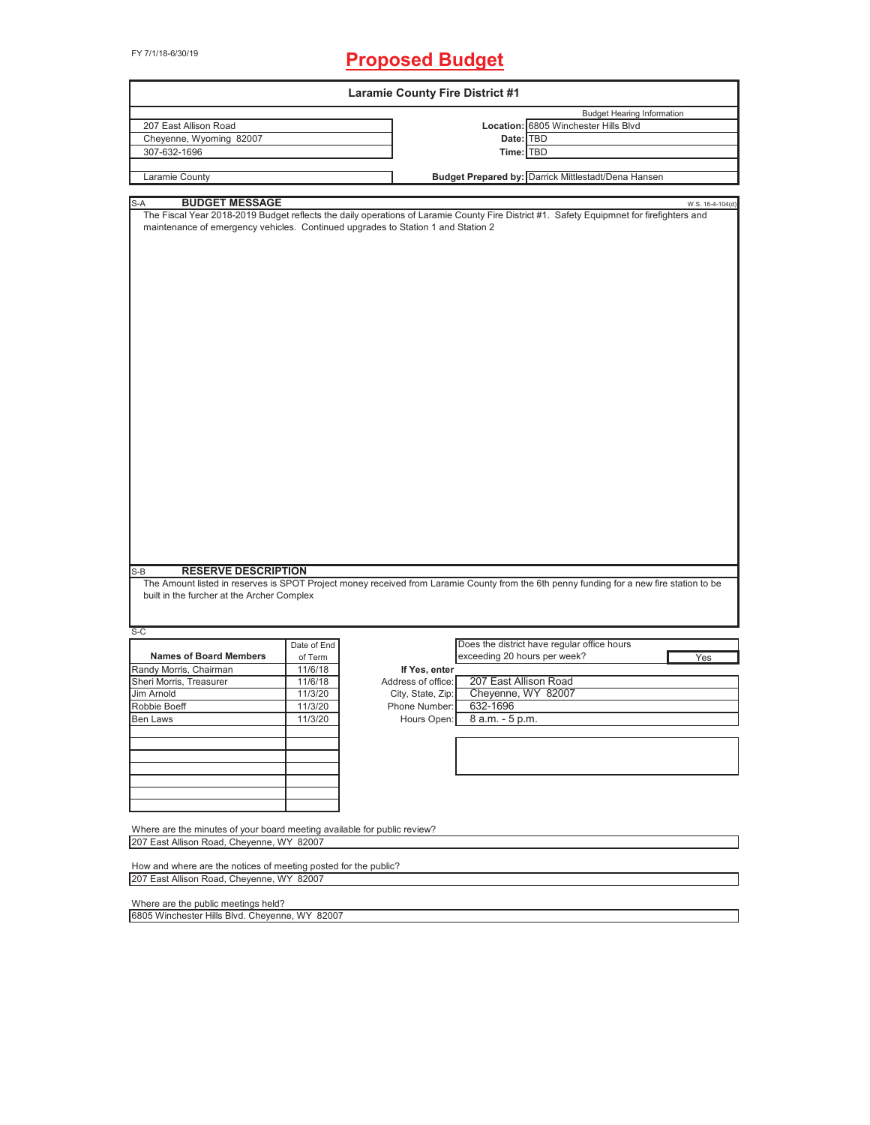## FY 7/1/18-6/30/19 **Proposed Budget**

| <b>Laramie County Fire District #1</b>                                                                                                                                                                                                 |             |                    |                                             |                                                                           |                  |
|----------------------------------------------------------------------------------------------------------------------------------------------------------------------------------------------------------------------------------------|-------------|--------------------|---------------------------------------------|---------------------------------------------------------------------------|------------------|
| 207 East Allison Road                                                                                                                                                                                                                  |             |                    |                                             | <b>Budget Hearing Information</b><br>Location: 6805 Winchester Hills Blvd |                  |
| Cheyenne, Wyoming 82007                                                                                                                                                                                                                |             |                    | Date: TBD                                   |                                                                           |                  |
| 307-632-1696                                                                                                                                                                                                                           |             |                    | Time: TBD                                   |                                                                           |                  |
|                                                                                                                                                                                                                                        |             |                    |                                             |                                                                           |                  |
| Laramie County                                                                                                                                                                                                                         |             |                    |                                             | Budget Prepared by: Darrick Mittlestadt/Dena Hansen                       |                  |
| <b>BUDGET MESSAGE</b><br>S-A                                                                                                                                                                                                           |             |                    |                                             |                                                                           | W.S. 16-4-104(d) |
| The Fiscal Year 2018-2019 Budget reflects the daily operations of Laramie County Fire District #1. Safety Equipmnet for firefighters and<br>maintenance of emergency vehicles. Continued upgrades to Station 1 and Station 2           |             |                    |                                             |                                                                           |                  |
| <b>RESERVE DESCRIPTION</b><br>$S-B$<br>The Amount listed in reserves is SPOT Project money received from Laramie County from the 6th penny funding for a new fire station to be<br>built in the furcher at the Archer Complex<br>$S-C$ |             |                    |                                             |                                                                           |                  |
|                                                                                                                                                                                                                                        | Date of End |                    | Does the district have regular office hours |                                                                           |                  |
| <b>Names of Board Members</b>                                                                                                                                                                                                          | of Term     |                    | exceeding 20 hours per week?                |                                                                           | Yes              |
| Randy Morris, Chairman                                                                                                                                                                                                                 | 11/6/18     | If Yes, enter      |                                             |                                                                           |                  |
| Sheri Morris, Treasurer                                                                                                                                                                                                                | 11/6/18     | Address of office: | 207 East Allison Road                       |                                                                           |                  |
| Jim Arnold                                                                                                                                                                                                                             | 11/3/20     | City, State, Zip:  | Cheyenne, WY 82007                          |                                                                           |                  |
| Robbie Boeff                                                                                                                                                                                                                           | 11/3/20     | Phone Number:      | 632-1696                                    |                                                                           |                  |
| Ben Laws                                                                                                                                                                                                                               | 11/3/20     |                    | Hours Open: 8 a.m. - 5 p.m.                 |                                                                           |                  |
|                                                                                                                                                                                                                                        |             |                    |                                             |                                                                           |                  |
|                                                                                                                                                                                                                                        |             |                    |                                             |                                                                           |                  |
|                                                                                                                                                                                                                                        |             |                    |                                             |                                                                           |                  |
| Where are the minutes of your board meeting available for public review?<br>207 East Allison Road, Cheyenne, WY 82007                                                                                                                  |             |                    |                                             |                                                                           |                  |
| How and where are the notices of meeting posted for the public?<br>207 East Allison Road, Cheyenne, WY 82007                                                                                                                           |             |                    |                                             |                                                                           |                  |
| Where are the public meetings held?                                                                                                                                                                                                    |             |                    |                                             |                                                                           |                  |

٦

6805 Winchester Hills Blvd. Cheyenne, WY 82007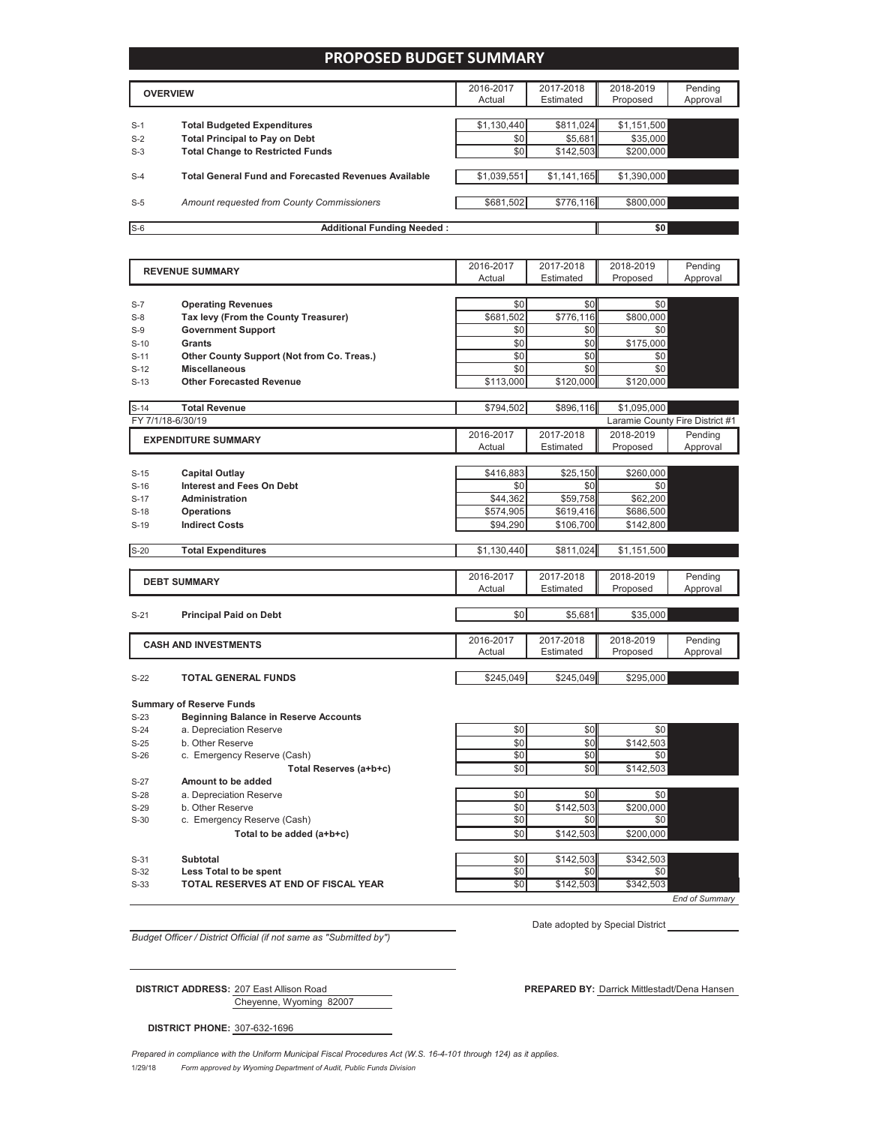#### **PROPOSED BUDGET SUMMARY**

|       | <b>OVERVIEW</b>                                             | 2016-2017<br>Actual | 2017-2018<br>Estimated | 2018-2019<br>Proposed | Pending<br>Approval |
|-------|-------------------------------------------------------------|---------------------|------------------------|-----------------------|---------------------|
|       |                                                             |                     |                        |                       |                     |
| $S-1$ | <b>Total Budgeted Expenditures</b>                          | \$1,130,440         | \$811,024              | \$1,151,500           |                     |
| $S-2$ | <b>Total Principal to Pay on Debt</b>                       | \$0                 | \$5,681                | \$35,000              |                     |
| $S-3$ | <b>Total Change to Restricted Funds</b>                     | \$0 <sub>1</sub>    | \$142,503              | \$200,000             |                     |
|       |                                                             |                     |                        |                       |                     |
| $S-4$ | <b>Total General Fund and Forecasted Revenues Available</b> | \$1,039,551         | \$1,141,165            | \$1,390,000           |                     |
|       |                                                             |                     |                        |                       |                     |
| $S-5$ | Amount requested from County Commissioners                  | \$681,502           | \$776,116              | \$800,000             |                     |
|       |                                                             |                     |                        |                       |                     |
| $S-6$ | <b>Additional Funding Needed:</b>                           |                     |                        | \$0                   |                     |

2016-2017 Actual 2017-2018 Estimated 2018-2019 Proposed Pending Approval S-7 **Operating Revenues**  $\sim$  50  $\sim$  50  $\sim$  50  $\sim$  50  $\sim$  50 S-8 **Tax levy (From the County Treasurer)** 1 \$681,502 \$776,116 \$800,000 S-9 **Government Support** \$0 \$0 \$0 \$0 S-10 **Grants** \$0 \$175,000 S-11 **Other County Support (Not from Co. Treas.)** \$0 \$0 \$0 \$0 S-12 **Miscellaneous** \$0 \$0 \$0 \$0 S-13 **Other Forecasted Revenue 120,000 5113,000 5120,000** \$120,000 S-14 **Total Revenue** \$794,502 \$896,116 \$1,095,000 \$1,095,000 FY 7/1/18-6/30/19 Laramie County Fire District #1 2016-2017 Actual 2017-2018 Estimated 2018-2019 Proposed Pending Approval S-15 **Capital Outlay** \$216,883 \$25,150 \$260,000 S-16 **Interest and Fees On Debt** \$0 \$0 \$0 \$0 S-17 **Administration by a set of the set of the state of the state of the state of the state of section**  $\frac{1}{2}$ S-18 **Operations** \$574,905 \$619,416 \$686,500 S-19 **Indirect Costs by Compact Costs 19 Indirect Costs by Compact Costs by Compact Costs by Compact Costs** S-20 **Total Expenditures 1.151,500 1.151,500 \$811,024** \$1,151,500 2016-2017 Actual 2017-2018 Estimated 2018-2019 Proposed Pending Approval S-21 **Principal Paid on Debt by the set of the set of the set of the set of the set of the set of the set of the set of the set of the set of the set of the set of the set of the set of the set of the set of the set of t** 2016-2017 Actual 2017-2018 Estimated 2018-2019 Proposed Pending Approval **EXPENDITURE SUMMARY REVENUE SUMMARY DEBT SUMMARY CASH AND INVESTMENTS**

#### S-22 **TOTAL GENERAL FUNDS** \$245,049 \$245,049 \$245,049 \$245,049 \$245,049 \$295,000

#### **Summary of Reserve Funds**

S-23 **Beginning Balance in Reserve Accounts**

 $S-24$  a. Depreciation Reserve  $S-24$   $S0$   $S0$   $S0$ 

S-25 b. Other Reserve  $\begin{array}{ccc} 5.25 & 5.142,503 \end{array}$ 

S-26 c. Emergency Reserve (Cash)

- Total Reserves (a+b+c)
- S-27 **Amount to be added**

- S-29 b. Other Reserve
- S-30 c. Emergency Reserve (Cash) Total to be added (a+b+c)
- 

S-33 **TOTAL RESERVES AT END OF FISCAL YEAR**  $\begin{bmatrix} 5.33 & 5.142,503 \\ 0 & 5142,503 \end{bmatrix}$  \$342,503

| S-26   | c. Emergency Reserve (Cash) | <b>SO</b>        | \$01      | \$0       |  |
|--------|-----------------------------|------------------|-----------|-----------|--|
|        | Total Reserves (a+b+c)      | \$0              | \$0       | \$142,503 |  |
| $S-27$ | Amount to be added          |                  |           |           |  |
| $S-28$ | a. Depreciation Reserve     | \$0              | \$0       | \$0       |  |
| $S-29$ | b. Other Reserve            | \$0              | \$142.503 | \$200,000 |  |
| $S-30$ | c. Emergency Reserve (Cash) | \$0              | \$0       | \$0       |  |
|        | Total to be added (a+b+c)   | \$0              | \$142,503 | \$200,000 |  |
|        |                             |                  |           |           |  |
| $S-31$ | Subtotal                    | \$0 <sub>1</sub> | \$142,503 | \$342,503 |  |
| $S-32$ | Less Total to be spent      | \$0              | \$0       | \$0       |  |

*End of Summary*

*Budget Officer / District Official (if not same as "Submitted by")*

Date adopted by Special District

Cheyenne, Wyoming 82007

**DISTRICT PHONE:** 307-632-1696

**DISTRICT ADDRESS:** 207 East Allison Road **PREPARED BY:** Darrick Mittlestadt/Dena Hansen

1/29/18 *Form approved by Wyoming Department of Audit, Public Funds Division Prepared in compliance with the Uniform Municipal Fiscal Procedures Act (W.S. 16-4-101 through 124) as it applies.*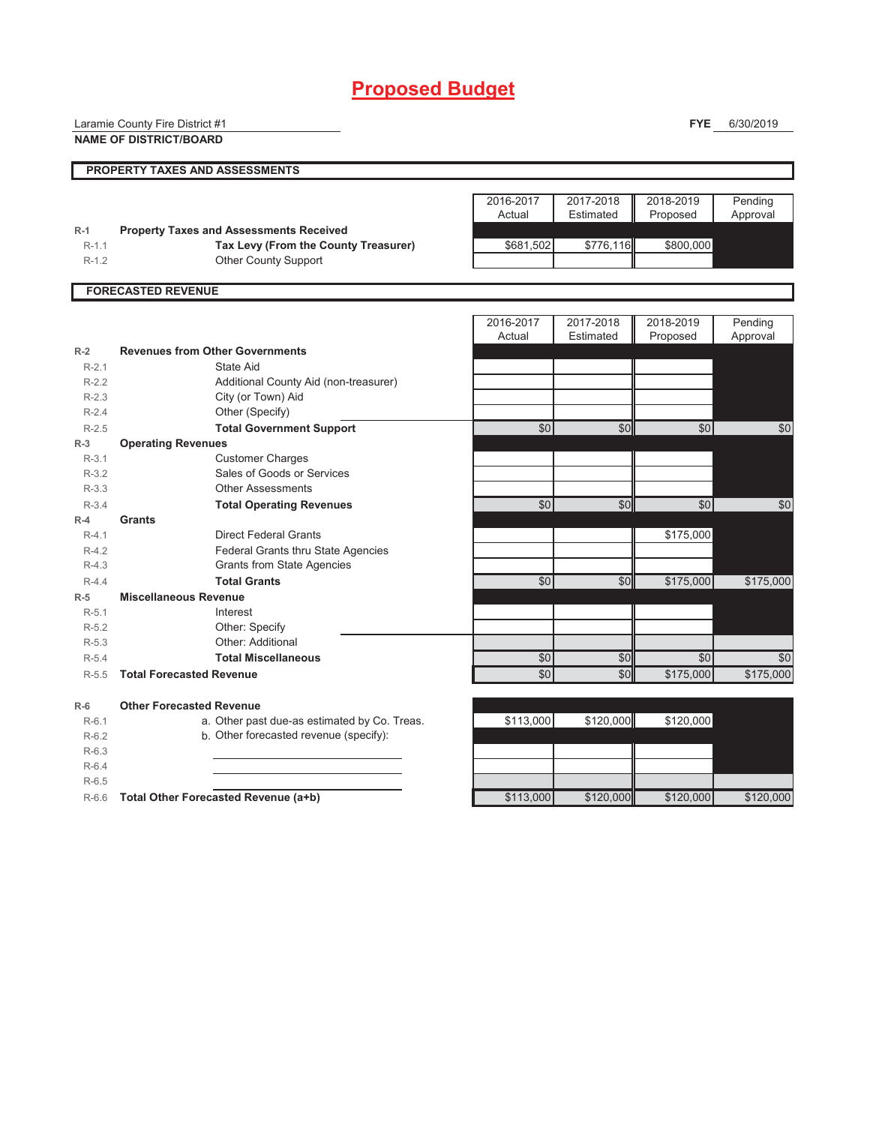# **Proposed Budget**

|         | Laramie County Fire District #1                |           |           | <b>FYE</b>    | 6/30/2019       |
|---------|------------------------------------------------|-----------|-----------|---------------|-----------------|
|         | <b>NAME OF DISTRICT/BOARD</b>                  |           |           |               |                 |
|         | PROPERTY TAXES AND ASSESSMENTS                 |           |           |               |                 |
|         |                                                |           |           |               |                 |
|         |                                                | 2016-2017 | 2017-2018 | 2018-2019     | Pending         |
|         |                                                | Actual    | Estimated | Proposed      | Approval        |
| $R-1$   | <b>Property Taxes and Assessments Received</b> |           |           |               |                 |
| $R-1.1$ | Tax Levy (From the County Treasurer)           | \$681,502 | \$776,116 | \$800,000     |                 |
| $R-1.2$ | Other County Support                           |           |           |               |                 |
|         | <b>FORECASTED REVENUE</b>                      |           |           |               |                 |
|         |                                                |           |           |               |                 |
|         |                                                | 2016-2017 | 2017-2018 | 2018-2019     | Pending         |
|         |                                                | Actual    | Estimated | Proposed      | Approval        |
| $R-2$   | <b>Revenues from Other Governments</b>         |           |           |               |                 |
| $R-2.1$ | State Aid                                      |           |           |               |                 |
| $R-2.2$ | Additional County Aid (non-treasurer)          |           |           |               |                 |
| $R-2.3$ | City (or Town) Aid                             |           |           |               |                 |
| $R-2.4$ | Other (Specify)                                |           |           |               |                 |
| $R-2.5$ | <b>Total Government Support</b>                | \$0       | \$0       | \$0           | \$0             |
| $R-3$   | <b>Operating Revenues</b>                      |           |           |               |                 |
| $R-3.1$ | <b>Customer Charges</b>                        |           |           |               |                 |
| $R-3.2$ | Sales of Goods or Services                     |           |           |               |                 |
| $R-3.3$ | <b>Other Assessments</b>                       |           |           |               |                 |
| $R-3.4$ | <b>Total Operating Revenues</b>                | \$0       | \$0       | $\frac{1}{2}$ | $\overline{50}$ |
| $R-4$   | <b>Grants</b>                                  |           |           |               |                 |
| $R-4.1$ | <b>Direct Federal Grants</b>                   |           |           | \$175,000     |                 |
| $R-4.2$ | Federal Grants thru State Agencies             |           |           |               |                 |
| $R-4.3$ | <b>Grants from State Agencies</b>              |           |           |               |                 |
| $R-4.4$ | <b>Total Grants</b>                            | \$0       | \$0       | \$175,000     | \$175,000       |
| $R-5$   | <b>Miscellaneous Revenue</b>                   |           |           |               |                 |
| $R-5.1$ | Interest                                       |           |           |               |                 |
| $R-5.2$ | Other: Specify                                 |           |           |               |                 |
| $R-5.3$ | Other: Additional                              |           |           |               |                 |
| $R-5.4$ | <b>Total Miscellaneous</b>                     | \$0       | \$0       | \$0           | \$0             |
| $R-5.5$ | <b>Total Forecasted Revenue</b>                | \$0       | \$0       | \$175,000     | \$175,000       |
| $R-6$   | <b>Other Forecasted Revenue</b>                |           |           |               |                 |
| $R-6.1$ | a. Other past due-as estimated by Co. Treas.   | \$113,000 | \$120,000 | \$120,000     |                 |
| $R-6.2$ | b. Other forecasted revenue (specify):         |           |           |               |                 |
| $R-6.3$ |                                                |           |           |               |                 |
| $R-6.4$ |                                                |           |           |               |                 |
| $R-6.5$ |                                                |           |           |               |                 |
| $R-6.6$ | Total Other Forecasted Revenue (a+b)           | \$113,000 | \$120,000 | \$120,000     | \$120,000       |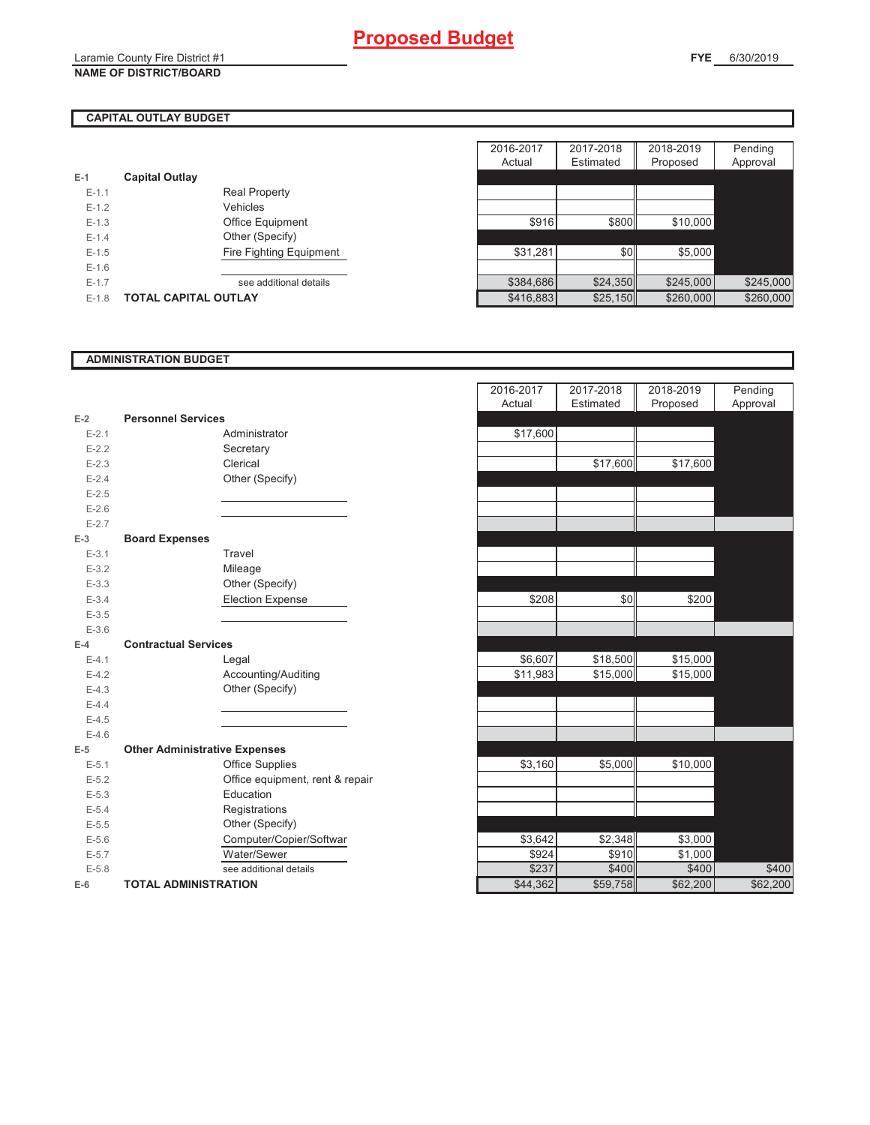## **CAPITAL OUTLAY BUDGET**

| $E-1$   | <b>Capital Outlay</b>       |                                |
|---------|-----------------------------|--------------------------------|
| $F-11$  |                             | <b>Real Property</b>           |
| $F-12$  |                             | Vehicles                       |
| $F-1.3$ |                             | <b>Office Equipment</b>        |
| $F-14$  |                             | Other (Specify)                |
| $F-1.5$ |                             | <b>Fire Fighting Equipment</b> |
| $F-16$  |                             |                                |
| $F-17$  |                             | see additional details         |
| $F-1.8$ | <b>TOTAL CAPITAL OUTLAY</b> |                                |

|         |                             |                         | 2016-2017 | 2017-2018 | 2018-2019 | Pending   |
|---------|-----------------------------|-------------------------|-----------|-----------|-----------|-----------|
|         |                             |                         | Actual    | Estimated | Proposed  | Approval  |
|         | <b>Capital Outlay</b>       |                         |           |           |           |           |
| $E-1.1$ |                             | <b>Real Property</b>    |           |           |           |           |
| $E-1.2$ |                             | <b>Vehicles</b>         |           |           |           |           |
| $E-1.3$ |                             | Office Equipment        | \$916     | \$800     | \$10,000  |           |
| $E-1.4$ |                             | Other (Specify)         |           |           |           |           |
| $E-1.5$ |                             | Fire Fighting Equipment | \$31,281  | \$0       | \$5,000   |           |
| $E-1.6$ |                             |                         |           |           |           |           |
| $E-1.7$ |                             | see additional details  | \$384,686 | \$24,350  | \$245,000 | \$245,000 |
| $E-1.8$ | <b>TOTAL CAPITAL OUTLAY</b> |                         | \$416,883 | \$25,150  | \$260,000 | \$260,000 |

#### **ADMINISTRATION BUDGET**

|           |                                      |                                 | nuuai    |
|-----------|--------------------------------------|---------------------------------|----------|
| $E-2$     | <b>Personnel Services</b>            |                                 |          |
| $E - 2.1$ |                                      | Administrator                   | \$17,600 |
| $E-2.2$   |                                      | Secretary                       |          |
| $E - 2.3$ |                                      | Clerical                        |          |
| $E - 2.4$ |                                      | Other (Specify)                 |          |
| $E - 2.5$ |                                      |                                 |          |
| $E - 2.6$ |                                      |                                 |          |
| $E - 2.7$ |                                      |                                 |          |
| $E-3$     | <b>Board Expenses</b>                |                                 |          |
| $E-3.1$   |                                      | Travel                          |          |
| $E-3.2$   |                                      | Mileage                         |          |
| $E - 3.3$ |                                      | Other (Specify)                 |          |
| $E - 3.4$ |                                      | <b>Election Expense</b>         | \$208    |
| $E - 3.5$ |                                      |                                 |          |
| $E - 3.6$ |                                      |                                 |          |
| $E-4$     | <b>Contractual Services</b>          |                                 |          |
| $E-4.1$   |                                      | Legal                           | \$6,607  |
| $E-4.2$   |                                      | Accounting/Auditing             | \$11,983 |
| $E - 4.3$ |                                      | Other (Specify)                 |          |
| $E - 4.4$ |                                      |                                 |          |
| $E-4.5$   |                                      |                                 |          |
| $E-4.6$   |                                      |                                 |          |
| $E-5$     | <b>Other Administrative Expenses</b> |                                 |          |
| $E - 5.1$ |                                      | <b>Office Supplies</b>          | \$3,160  |
| $E - 5.2$ |                                      | Office equipment, rent & repair |          |
| $E-5.3$   |                                      | Education                       |          |
| $E - 5.4$ |                                      | Registrations                   |          |
| $E - 5.5$ |                                      | Other (Specify)                 |          |
| $E - 5.6$ |                                      | Computer/Copier/Softwar         | \$3,642  |
| $E - 5.7$ |                                      | Water/Sewer                     | \$924    |
| $E - 5.8$ |                                      | see additional details          | \$237    |
| E-6       | <b>TOTAL ADMINISTRATION</b>          |                                 | \$44,362 |
|           |                                      |                                 |          |

|                          |                                      | 2016-2017<br>Actual | 2017-2018<br>Estimated | 2018-2019<br>Proposed | Pending<br>Approval |
|--------------------------|--------------------------------------|---------------------|------------------------|-----------------------|---------------------|
| 2                        | <b>Personnel Services</b>            |                     |                        |                       |                     |
| $E - 2.1$                | Administrator                        | \$17,600            |                        |                       |                     |
| $E - 2.2$                | Secretary                            |                     |                        |                       |                     |
| $E - 2.3$                | Clerical                             |                     | \$17,600               | \$17,600              |                     |
| $E - 2.4$                | Other (Specify)                      |                     |                        |                       |                     |
| $E-2.5$                  |                                      |                     |                        |                       |                     |
| $E - 2.6$                |                                      |                     |                        |                       |                     |
| $E - 2.7$                |                                      |                     |                        |                       |                     |
| $\overline{\phantom{0}}$ | <b>Board Expenses</b>                |                     |                        |                       |                     |
| $E-3.1$                  | Travel                               |                     |                        |                       |                     |
| $E - 3.2$                | Mileage                              |                     |                        |                       |                     |
| $E - 3.3$                | Other (Specify)                      |                     |                        |                       |                     |
| $E - 3.4$                | <b>Election Expense</b>              | \$208               | \$0                    | \$200                 |                     |
| $E - 3.5$                |                                      |                     |                        |                       |                     |
| $E - 3.6$                |                                      |                     |                        |                       |                     |
| ı.                       | <b>Contractual Services</b>          |                     |                        |                       |                     |
| $E - 4.1$                | Legal                                | \$6,607             | \$18,500               | \$15,000              |                     |
| $E - 4.2$                | Accounting/Auditing                  | \$11,983            | \$15,000               | \$15,000              |                     |
| $E - 4.3$                | Other (Specify)                      |                     |                        |                       |                     |
| $E - 4.4$                |                                      |                     |                        |                       |                     |
| $E - 4.5$                |                                      |                     |                        |                       |                     |
| $E - 4.6$                |                                      |                     |                        |                       |                     |
| 5                        | <b>Other Administrative Expenses</b> |                     |                        |                       |                     |
| $E - 5.1$                | <b>Office Supplies</b>               | \$3,160             | \$5,000                | \$10,000              |                     |
| $E - 5.2$                | Office equipment, rent & repair      |                     |                        |                       |                     |
| $E - 5.3$                | Education                            |                     |                        |                       |                     |
| $E - 5.4$                | Registrations                        |                     |                        |                       |                     |
| $E - 5.5$                | Other (Specify)                      |                     |                        |                       |                     |
| $E - 5.6$                | Computer/Copier/Softwar              | \$3,642             | \$2,348                | \$3,000               |                     |
| $E - 5.7$                | Water/Sewer                          | \$924               | \$910                  | \$1,000               |                     |
| $E - 5.8$                | see additional details               | \$237               | \$400                  | \$400                 | \$400               |
| ŝ                        | <b>TOTAL ADMINISTRATION</b>          | \$44,362            | \$59,758               | \$62,200              | \$62,200            |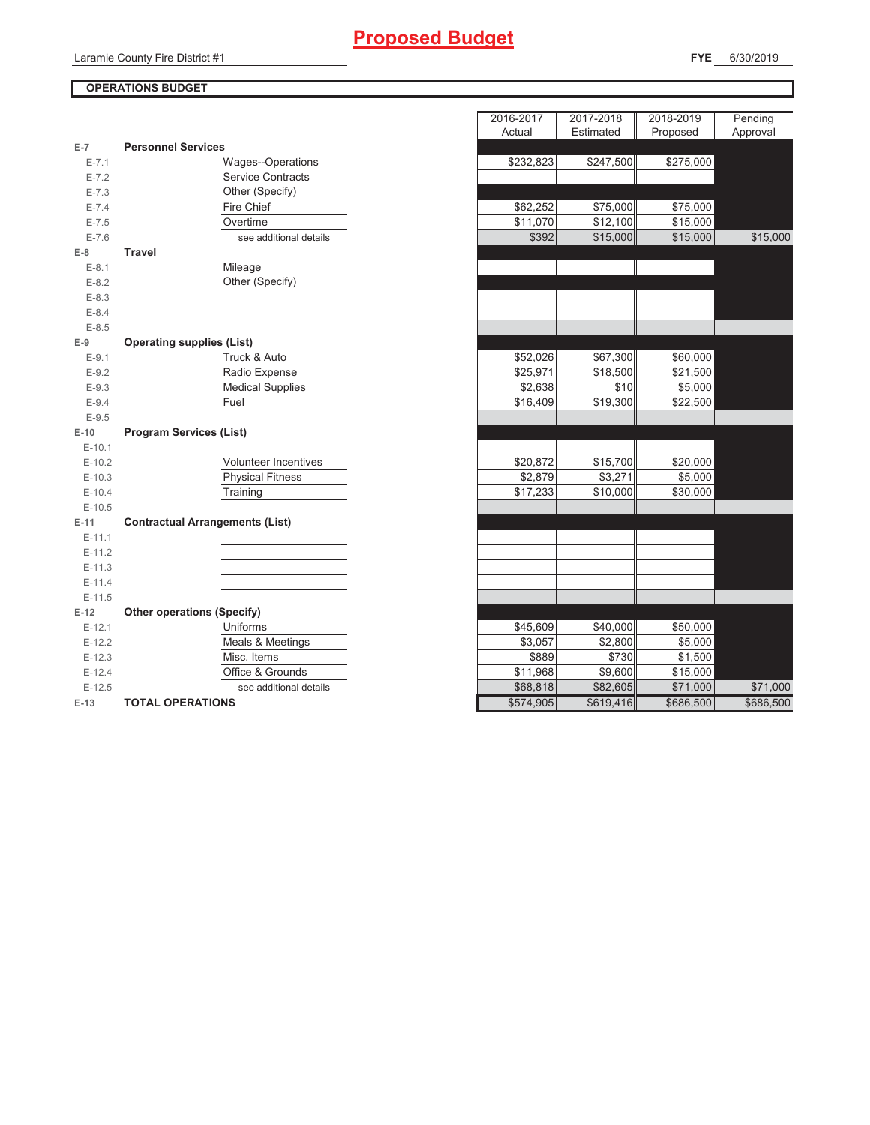## **Proposed Budget**

## **OPERATIONS BUDGET**

| $E-7$     | <b>Personnel Services</b>              |  |  |
|-----------|----------------------------------------|--|--|
| $E - 7.1$ | Wages--Operations                      |  |  |
| $E - 7.2$ | <b>Service Contracts</b>               |  |  |
| $E - 7.3$ | Other (Specify)                        |  |  |
| $E - 7.4$ | <b>Fire Chief</b>                      |  |  |
| $E - 7.5$ | Overtime                               |  |  |
| $E - 7.6$ | see additional details                 |  |  |
| $E-8$     | <b>Travel</b>                          |  |  |
| $E-8.1$   | Mileage                                |  |  |
| $E-8.2$   | Other (Specify)                        |  |  |
| $E - 8.3$ |                                        |  |  |
| $E - 8.4$ |                                        |  |  |
| $E - 8.5$ |                                        |  |  |
| $E-9$     | <b>Operating supplies (List)</b>       |  |  |
| $E-9.1$   | Truck & Auto                           |  |  |
| $E-9.2$   | Radio Expense                          |  |  |
| $E-9.3$   | <b>Medical Supplies</b>                |  |  |
| $E-9.4$   | Fuel                                   |  |  |
| $E - 9.5$ |                                        |  |  |
|           |                                        |  |  |
| $E-10$    | <b>Program Services (List)</b>         |  |  |
| $E-10.1$  |                                        |  |  |
| $E-10.2$  | Volunteer Incentives                   |  |  |
| $E-10.3$  | <b>Physical Fitness</b>                |  |  |
| $E-10.4$  | Training                               |  |  |
| $E-10.5$  |                                        |  |  |
| $E-11$    | <b>Contractual Arrangements (List)</b> |  |  |
| $E-11.1$  |                                        |  |  |
| $E-11.2$  |                                        |  |  |
| $E-11.3$  |                                        |  |  |
| $E-11.4$  |                                        |  |  |
| $E-11.5$  |                                        |  |  |
| $E-12$    | <b>Other operations (Specify)</b>      |  |  |
| $E-12.1$  | Uniforms                               |  |  |
| $E-12.2$  | Meals & Meetings                       |  |  |
| $E-12.3$  | Misc. Items                            |  |  |
| $E-12.4$  | Office & Grounds                       |  |  |
| $E-12.5$  | see additional details                 |  |  |

|                |                                        | 2016-2017           | 2017-2018         | 2018-2019 | Pending   |
|----------------|----------------------------------------|---------------------|-------------------|-----------|-----------|
|                |                                        | Actual              | Estimated         | Proposed  | Approval  |
| $\overline{7}$ | <b>Personnel Services</b>              |                     |                   |           |           |
| $E - 7.1$      | Wages--Operations                      | \$232,823           | $\sqrt{$247,500}$ | \$275,000 |           |
| $E - 7.2$      | <b>Service Contracts</b>               |                     |                   |           |           |
| $E - 7.3$      | Other (Specify)                        |                     |                   |           |           |
| $E - 7.4$      | Fire Chief                             | \$62,252            | \$75,000          | \$75,000  |           |
| $E - 7.5$      | Overtime                               | \$11,070            | \$12,100          | \$15,000  |           |
| $E - 7.6$      | see additional details                 | \$392               | \$15,000          | \$15,000  | \$15,000  |
| 8              | <b>Travel</b>                          |                     |                   |           |           |
| $E-8.1$        | Mileage                                |                     |                   |           |           |
| $E-8.2$        | Other (Specify)                        |                     |                   |           |           |
| $E - 8.3$      |                                        |                     |                   |           |           |
| $E - 8.4$      |                                        |                     |                   |           |           |
| $E - 8.5$      |                                        |                     |                   |           |           |
| 9              | <b>Operating supplies (List)</b>       |                     |                   |           |           |
| $E-9.1$        | Truck & Auto                           | \$52,026            | \$67,300          | \$60,000  |           |
| $E - 9.2$      | Radio Expense                          | \$25,971            | \$18,500          | \$21,500  |           |
| $E-9.3$        | <b>Medical Supplies</b>                | $\overline{$}2,638$ | \$10              | \$5,000   |           |
| $E-9.4$        | Fuel                                   | \$16,409            | \$19,300          | \$22,500  |           |
| $E-9.5$        |                                        |                     |                   |           |           |
| $-10$          | <b>Program Services (List)</b>         |                     |                   |           |           |
| $E-10.1$       |                                        |                     |                   |           |           |
| $E-10.2$       | <b>Volunteer Incentives</b>            | \$20,872            | \$15,700          | \$20,000  |           |
| $E-10.3$       | <b>Physical Fitness</b>                | \$2,879             | \$3,271           | \$5,000   |           |
| $E-10.4$       | Training                               | \$17,233            | \$10,000          | \$30,000  |           |
| $E-10.5$       |                                        |                     |                   |           |           |
| 11.            | <b>Contractual Arrangements (List)</b> |                     |                   |           |           |
| $E-11.1$       |                                        |                     |                   |           |           |
| $E-11.2$       |                                        |                     |                   |           |           |
| $E-11.3$       |                                        |                     |                   |           |           |
| E-11.4         |                                        |                     |                   |           |           |
| $E-11.5$       |                                        |                     |                   |           |           |
| 12             | <b>Other operations (Specify)</b>      |                     |                   |           |           |
| $E-12.1$       | Uniforms                               | \$45,609            | \$40,000          | \$50,000  |           |
| $E-12.2$       | Meals & Meetings                       | \$3,057             | \$2,800           | \$5,000   |           |
| $E-12.3$       | Misc. Items                            | \$889               | \$730             | \$1,500   |           |
| $E-12.4$       | Office & Grounds                       | \$11,968            | \$9,600           | \$15,000  |           |
| $E-12.5$       | see additional details                 | \$68,818            | \$82,605          | \$71,000  | \$71,000  |
| $-13$          | <b>TOTAL OPERATIONS</b>                | \$574,905           | \$619,416         | \$686,500 | \$686,500 |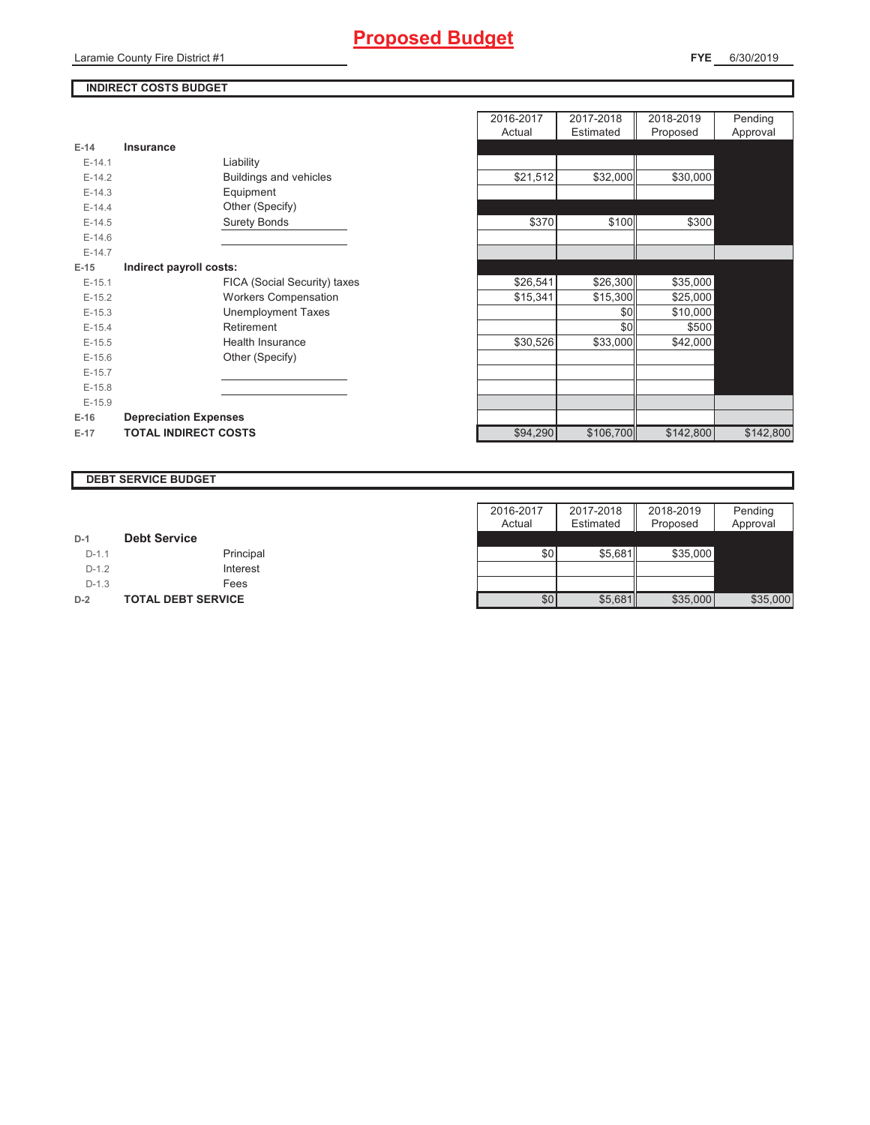## **INDIRECT COSTS BUDGET**

| $E-14$     | Insurance                     |
|------------|-------------------------------|
| $F-14.1$   | Liability                     |
| $F-142$    | <b>Buildings and vehicles</b> |
| $F-14.3$   | Equipment                     |
| $F-144$    | Other (Specify)               |
| $E-14.5$   | <b>Surety Bonds</b>           |
| $F-146$    |                               |
| $F-147$    |                               |
| $E-15$     | Indirect payroll costs:       |
| $E-15.1$   | FICA (Social Security) taxes  |
| $E-15.2$   | <b>Workers Compensation</b>   |
| $E-15.3$   | Unemployment Taxes            |
| $E-15.4$   | Retirement                    |
| $E-15.5$   | Health Insurance              |
| $E - 15.6$ | Other (Specify)               |
| $F-157$    |                               |
| $E-15.8$   |                               |
| $F-15.9$   |                               |
| $E-16$     | <b>Depreciation Expenses</b>  |
| $E-17$     | <b>TOTAL INDIRECT COSTS</b>   |

|          |                              | 2016-2017 | 2017-2018 | 2018-2019 | Pending   |
|----------|------------------------------|-----------|-----------|-----------|-----------|
|          |                              | Actual    | Estimated | Proposed  | Approval  |
| $E-14$   | Insurance                    |           |           |           |           |
| $E-14.1$ | Liability                    |           |           |           |           |
| $E-14.2$ | Buildings and vehicles       | \$21,512  | \$32,000  | \$30,000  |           |
| $E-14.3$ | Equipment                    |           |           |           |           |
| $E-14.4$ | Other (Specify)              |           |           |           |           |
| $E-14.5$ | <b>Surety Bonds</b>          | \$370     | \$100     | \$300     |           |
| $E-14.6$ |                              |           |           |           |           |
| $E-14.7$ |                              |           |           |           |           |
| $E-15$   | Indirect payroll costs:      |           |           |           |           |
| $E-15.1$ | FICA (Social Security) taxes | \$26,541  | \$26,300  | \$35,000  |           |
| $E-15.2$ | <b>Workers Compensation</b>  | \$15,341  | \$15,300  | \$25,000  |           |
| $E-15.3$ | <b>Unemployment Taxes</b>    |           | \$0       | \$10,000  |           |
| $E-15.4$ | Retirement                   |           | \$0       | \$500     |           |
| $E-15.5$ | Health Insurance             | \$30,526  | \$33,000  | \$42,000  |           |
| $E-15.6$ | Other (Specify)              |           |           |           |           |
| $E-15.7$ |                              |           |           |           |           |
| $E-15.8$ |                              |           |           |           |           |
| $E-15.9$ |                              |           |           |           |           |
| $E-16$   | <b>Depreciation Expenses</b> |           |           |           |           |
|          | <b>TOTAL INDIRECT COSTS</b>  | \$94,290  | \$106,700 | \$142,800 | \$142,800 |
| E-17     |                              |           |           |           |           |

#### **DEBT SERVICE BUDGET**

|         |                           | 2016-2017 | 2017-2018 | 2018-2019 | Pending  |
|---------|---------------------------|-----------|-----------|-----------|----------|
|         |                           | Actual    | Estimated | Proposed  | Approval |
| $D-1$   | <b>Debt Service</b>       |           |           |           |          |
| $D-1.1$ | Principal                 | \$0       | \$5.681   | \$35,000  |          |
| $D-1.2$ | Interest                  |           |           |           |          |
| $D-1.3$ | Fees                      |           |           |           |          |
| $D-2$   | <b>TOTAL DEBT SERVICE</b> | \$0       | \$5,681   | \$35,000  | \$35,000 |